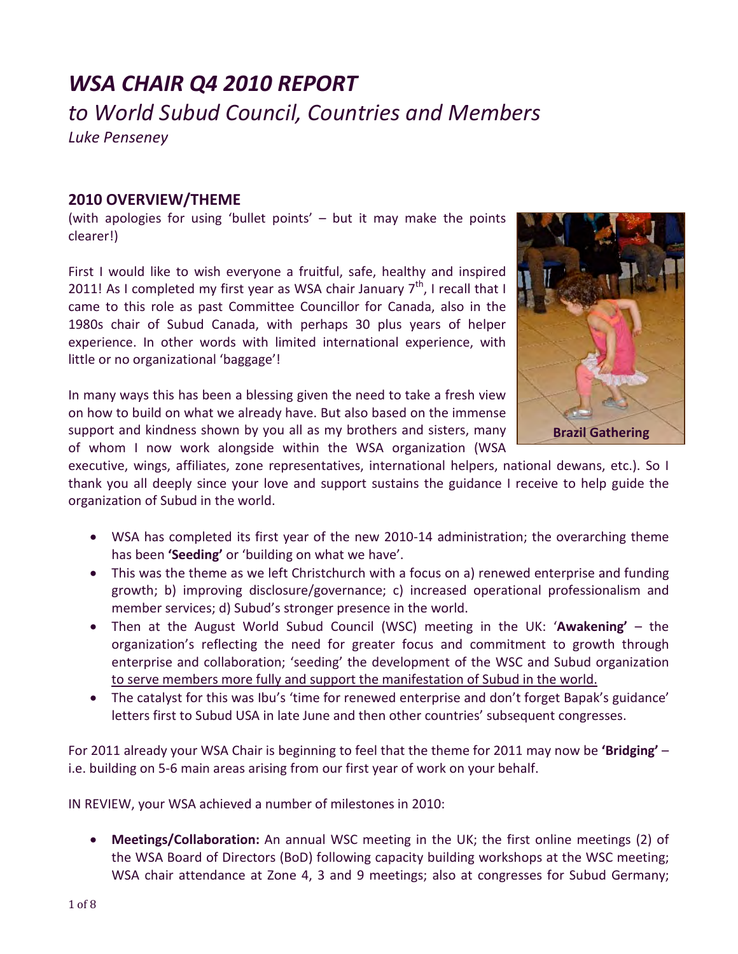# *WSA CHAIR Q4 2010 REPORT to World Subud Council, Countries and Members Luke Penseney*

### **2010 OVERVIEW/THEME**

(with apologies for using 'bullet points' – but it may make the points clearer!)

First I would like to wish everyone a fruitful, safe, healthy and inspired 2011! As I completed my first year as WSA chair January  $7<sup>th</sup>$ , I recall that I came to this role as past Committee Councillor for Canada, also in the 1980s chair of Subud Canada, with perhaps 30 plus years of helper experience. In other words with limited international experience, with little or no organizational 'baggage'!

In many ways this has been a blessing given the need to take a fresh view on how to build on what we already have. But also based on the immense support and kindness shown by you all as my brothers and sisters, many of whom I now work alongside within the WSA organization (WSA



executive, wings, affiliates, zone representatives, international helpers, national dewans, etc.). So I thank you all deeply since your love and support sustains the guidance I receive to help guide the organization of Subud in the world.

- WSA has completed its first year of the new 2010-14 administration; the overarching theme has been **'Seeding'** or 'building on what we have'.
- This was the theme as we left Christchurch with a focus on a) renewed enterprise and funding growth; b) improving disclosure/governance; c) increased operational professionalism and member services; d) Subud's stronger presence in the world.
- Then at the August World Subud Council (WSC) meeting in the UK: '**Awakening'** the organization's reflecting the need for greater focus and commitment to growth through enterprise and collaboration; 'seeding' the development of the WSC and Subud organization to serve members more fully and support the manifestation of Subud in the world.
- The catalyst for this was Ibu's 'time for renewed enterprise and don't forget Bapak's guidance' letters first to Subud USA in late June and then other countries' subsequent congresses.

For 2011 already your WSA Chair is beginning to feel that the theme for 2011 may now be **'Bridging'** – i.e. building on 5-6 main areas arising from our first year of work on your behalf.

IN REVIEW, your WSA achieved a number of milestones in 2010:

• **Meetings/Collaboration:** An annual WSC meeting in the UK; the first online meetings (2) of the WSA Board of Directors (BoD) following capacity building workshops at the WSC meeting; WSA chair attendance at Zone 4, 3 and 9 meetings; also at congresses for Subud Germany;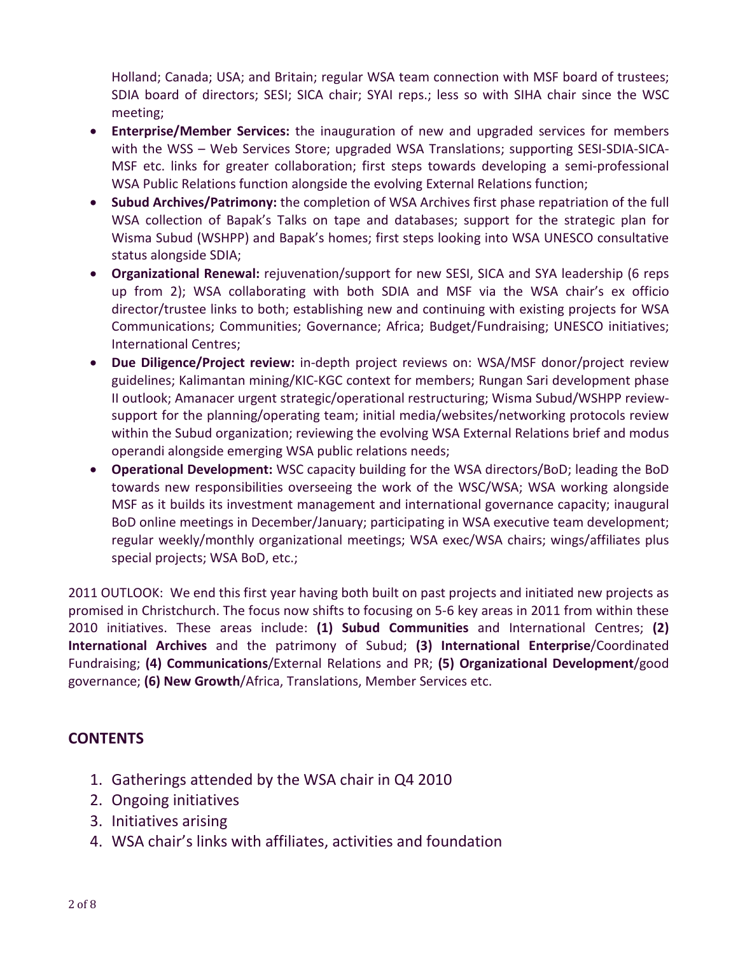Holland; Canada; USA; and Britain; regular WSA team connection with MSF board of trustees; SDIA board of directors; SESI; SICA chair; SYAI reps.; less so with SIHA chair since the WSC meeting;

- **Enterprise/Member Services:** the inauguration of new and upgraded services for members with the WSS – Web Services Store; upgraded WSA Translations; supporting SESI-SDIA-SICA-MSF etc. links for greater collaboration; first steps towards developing a semi-professional WSA Public Relations function alongside the evolving External Relations function;
- **Subud Archives/Patrimony:** the completion of WSA Archives first phase repatriation of the full WSA collection of Bapak's Talks on tape and databases; support for the strategic plan for Wisma Subud (WSHPP) and Bapak's homes; first steps looking into WSA UNESCO consultative status alongside SDIA;
- **Organizational Renewal:** rejuvenation/support for new SESI, SICA and SYA leadership (6 reps up from 2); WSA collaborating with both SDIA and MSF via the WSA chair's ex officio director/trustee links to both; establishing new and continuing with existing projects for WSA Communications; Communities; Governance; Africa; Budget/Fundraising; UNESCO initiatives; International Centres;
- **Due Diligence/Project review:** in-depth project reviews on: WSA/MSF donor/project review guidelines; Kalimantan mining/KIC-KGC context for members; Rungan Sari development phase II outlook; Amanacer urgent strategic/operational restructuring; Wisma Subud/WSHPP reviewsupport for the planning/operating team; initial media/websites/networking protocols review within the Subud organization; reviewing the evolving WSA External Relations brief and modus operandi alongside emerging WSA public relations needs;
- **Operational Development:** WSC capacity building for the WSA directors/BoD; leading the BoD towards new responsibilities overseeing the work of the WSC/WSA; WSA working alongside MSF as it builds its investment management and international governance capacity; inaugural BoD online meetings in December/January; participating in WSA executive team development; regular weekly/monthly organizational meetings; WSA exec/WSA chairs; wings/affiliates plus special projects; WSA BoD, etc.;

2011 OUTLOOK: We end this first year having both built on past projects and initiated new projects as promised in Christchurch. The focus now shifts to focusing on 5-6 key areas in 2011 from within these 2010 initiatives. These areas include: **(1) Subud Communities** and International Centres; **(2) International Archives** and the patrimony of Subud; **(3) International Enterprise**/Coordinated Fundraising; **(4) Communications**/External Relations and PR; **(5) Organizational Development**/good governance; **(6) New Growth**/Africa, Translations, Member Services etc.

## **CONTENTS**

- 1. Gatherings attended by the WSA chair in Q4 2010
- 2. Ongoing initiatives
- 3. Initiatives arising
- 4. WSA chair's links with affiliates, activities and foundation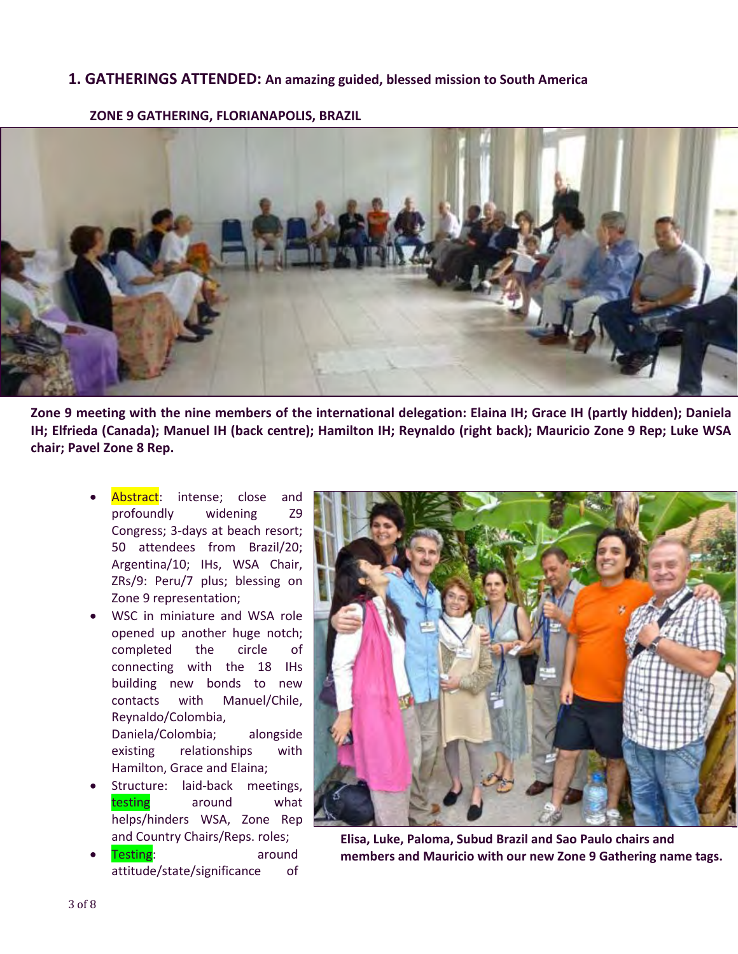#### **1. GATHERINGS ATTENDED: An amazing guided, blessed mission to South America**



**ZONE 9 GATHERING, FLORIANAPOLIS, BRAZIL**

**Zone 9 meeting with the nine members of the international delegation: Elaina IH; Grace IH (partly hidden); Daniela IH; Elfrieda (Canada); Manuel IH (back centre); Hamilton IH; Reynaldo (right back); Mauricio Zone 9 Rep; Luke WSA chair; Pavel Zone 8 Rep.**

- Abstract: intense; close and profoundly widening Z9 Congress; 3-days at beach resort; 50 attendees from Brazil/20; Argentina/10; IHs, WSA Chair, ZRs/9: Peru/7 plus; blessing on Zone 9 representation;
- WSC in miniature and WSA role opened up another huge notch; completed the circle of connecting with the 18 IHs building new bonds to new contacts with Manuel/Chile, Reynaldo/Colombia, Daniela/Colombia; alongside existing relationships with Hamilton, Grace and Elaina;
- Structure: laid-back meetings, testing around what helps/hinders WSA, Zone Rep and Country Chairs/Reps. roles;
- Testing: around attitude/state/significance of



**Elisa, Luke, Paloma, Subud Brazil and Sao Paulo chairs and members and Mauricio with our new Zone 9 Gathering name tags.**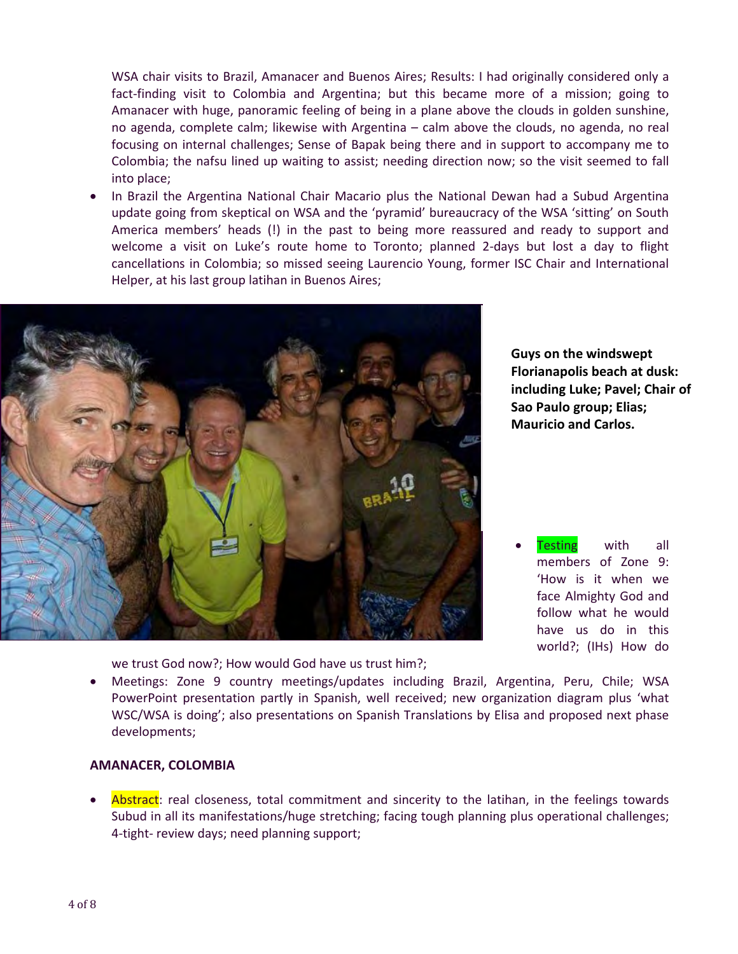WSA chair visits to Brazil, Amanacer and Buenos Aires; Results: I had originally considered only a fact-finding visit to Colombia and Argentina; but this became more of a mission; going to Amanacer with huge, panoramic feeling of being in a plane above the clouds in golden sunshine, no agenda, complete calm; likewise with Argentina – calm above the clouds, no agenda, no real focusing on internal challenges; Sense of Bapak being there and in support to accompany me to Colombia; the nafsu lined up waiting to assist; needing direction now; so the visit seemed to fall into place;

• In Brazil the Argentina National Chair Macario plus the National Dewan had a Subud Argentina update going from skeptical on WSA and the 'pyramid' bureaucracy of the WSA 'sitting' on South America members' heads (!) in the past to being more reassured and ready to support and welcome a visit on Luke's route home to Toronto; planned 2-days but lost a day to flight cancellations in Colombia; so missed seeing Laurencio Young, former ISC Chair and International Helper, at his last group latihan in Buenos Aires;



we trust God now?; How would God have us trust him?;

**Guys on the windswept Florianapolis beach at dusk: including Luke; Pavel; Chair of Sao Paulo group; Elias; Mauricio and Carlos.**

**Testing** with all members of Zone 9: 'How is it when we face Almighty God and follow what he would have us do in this world?; (IHs) How do

• Meetings: Zone 9 country meetings/updates including Brazil, Argentina, Peru, Chile; WSA PowerPoint presentation partly in Spanish, well received; new organization diagram plus 'what WSC/WSA is doing'; also presentations on Spanish Translations by Elisa and proposed next phase developments;

#### **AMANACER, COLOMBIA**

Abstract: real closeness, total commitment and sincerity to the latihan, in the feelings towards Subud in all its manifestations/huge stretching; facing tough planning plus operational challenges; 4-tight- review days; need planning support;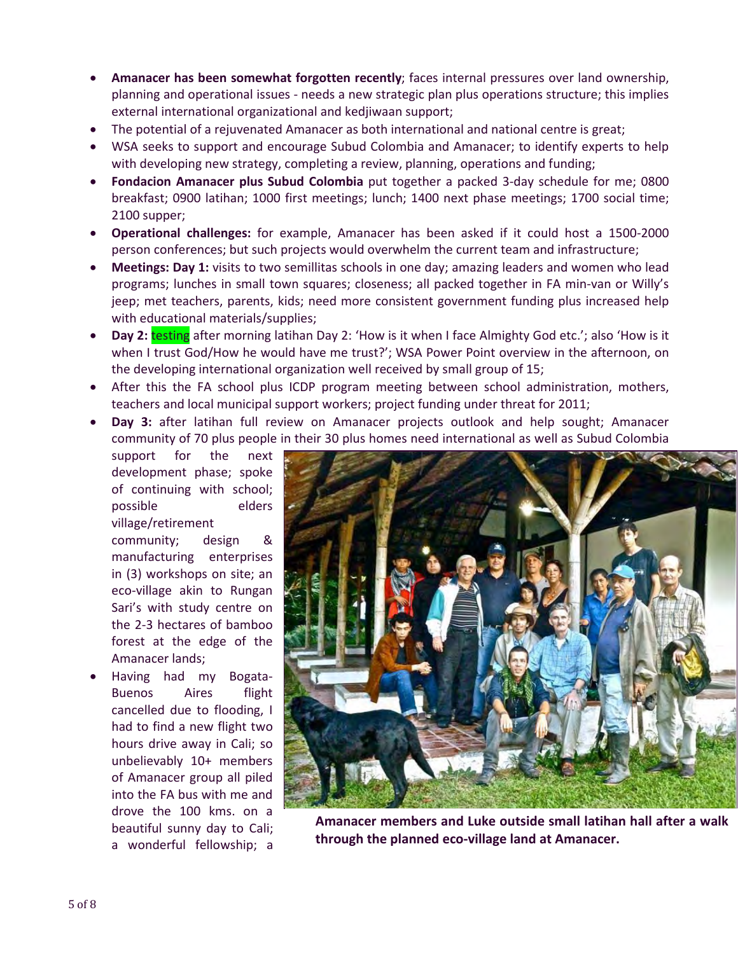- **Amanacer has been somewhat forgotten recently**; faces internal pressures over land ownership, planning and operational issues - needs a new strategic plan plus operations structure; this implies external international organizational and kedjiwaan support;
- The potential of a rejuvenated Amanacer as both international and national centre is great;
- WSA seeks to support and encourage Subud Colombia and Amanacer; to identify experts to help with developing new strategy, completing a review, planning, operations and funding;
- **Fondacion Amanacer plus Subud Colombia** put together a packed 3-day schedule for me; 0800 breakfast; 0900 latihan; 1000 first meetings; lunch; 1400 next phase meetings; 1700 social time; 2100 supper;
- **Operational challenges:** for example, Amanacer has been asked if it could host a 1500-2000 person conferences; but such projects would overwhelm the current team and infrastructure;
- **Meetings: Day 1:** visits to two semillitas schools in one day; amazing leaders and women who lead programs; lunches in small town squares; closeness; all packed together in FA min-van or Willy's jeep; met teachers, parents, kids; need more consistent government funding plus increased help with educational materials/supplies;
- **Day 2: testing** after morning latihan Day 2: 'How is it when I face Almighty God etc.'; also 'How is it when I trust God/How he would have me trust?'; WSA Power Point overview in the afternoon, on the developing international organization well received by small group of 15;
- After this the FA school plus ICDP program meeting between school administration, mothers, teachers and local municipal support workers; project funding under threat for 2011;
- **Day 3:** after latihan full review on Amanacer projects outlook and help sought; Amanacer community of 70 plus people in their 30 plus homes need international as well as Subud Colombia

support for the next development phase; spoke of continuing with school; possible elders village/retirement

community; design & manufacturing enterprises in (3) workshops on site; an eco-village akin to Rungan Sari's with study centre on the 2-3 hectares of bamboo forest at the edge of the Amanacer lands;

• Having had my Bogata-Buenos Aires flight cancelled due to flooding, I had to find a new flight two hours drive away in Cali; so unbelievably 10+ members of Amanacer group all piled into the FA bus with me and drove the 100 kms. on a beautiful sunny day to Cali; a wonderful fellowship; a



**Amanacer members and Luke outside small latihan hall after a walk through the planned eco-village land at Amanacer.**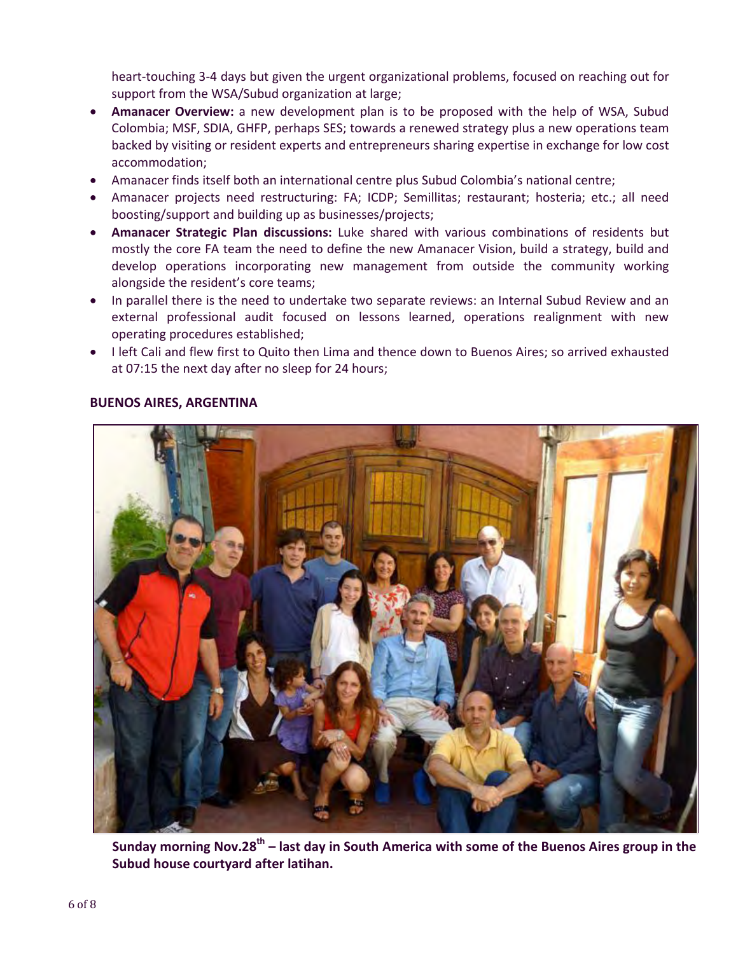heart-touching 3-4 days but given the urgent organizational problems, focused on reaching out for support from the WSA/Subud organization at large;

- **Amanacer Overview:** a new development plan is to be proposed with the help of WSA, Subud Colombia; MSF, SDIA, GHFP, perhaps SES; towards a renewed strategy plus a new operations team backed by visiting or resident experts and entrepreneurs sharing expertise in exchange for low cost accommodation;
- Amanacer finds itself both an international centre plus Subud Colombia's national centre;
- Amanacer projects need restructuring: FA; ICDP; Semillitas; restaurant; hosteria; etc.; all need boosting/support and building up as businesses/projects;
- **Amanacer Strategic Plan discussions:** Luke shared with various combinations of residents but mostly the core FA team the need to define the new Amanacer Vision, build a strategy, build and develop operations incorporating new management from outside the community working alongside the resident's core teams;
- In parallel there is the need to undertake two separate reviews: an Internal Subud Review and an external professional audit focused on lessons learned, operations realignment with new operating procedures established;
- I left Cali and flew first to Quito then Lima and thence down to Buenos Aires; so arrived exhausted at 07:15 the next day after no sleep for 24 hours;



#### **BUENOS AIRES, ARGENTINA**

**Sunday morning Nov.28th – last day in South America with some of the Buenos Aires group in the Subud house courtyard after latihan.**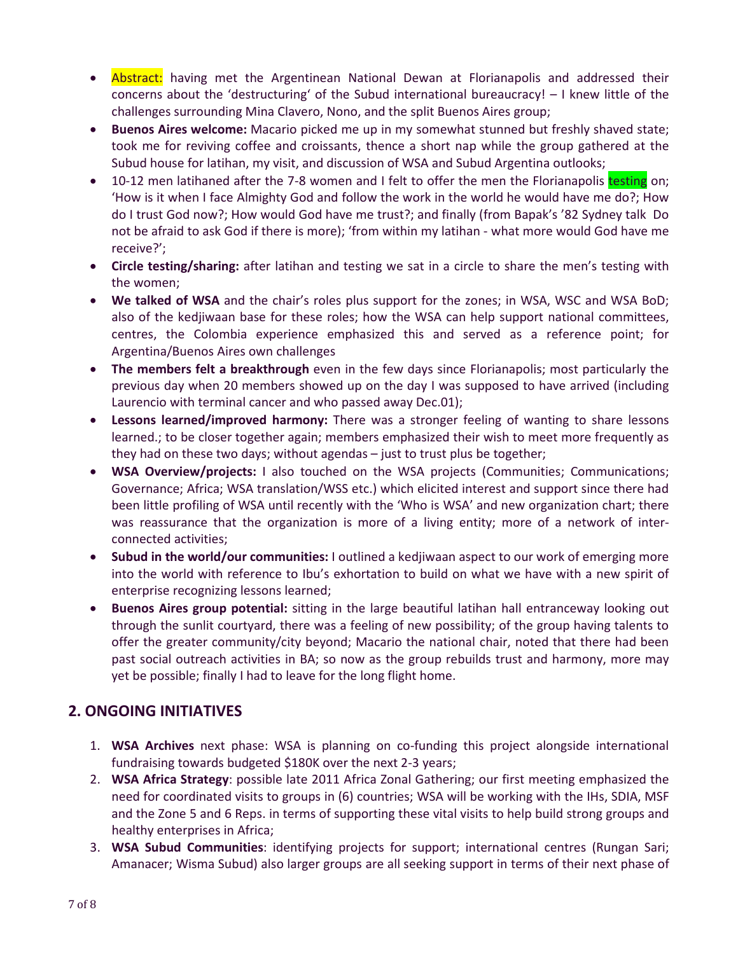- **Abstract:** having met the Argentinean National Dewan at Florianapolis and addressed their concerns about the 'destructuring' of the Subud international bureaucracy! – I knew little of the challenges surrounding Mina Clavero, Nono, and the split Buenos Aires group;
- **Buenos Aires welcome:** Macario picked me up in my somewhat stunned but freshly shaved state; took me for reviving coffee and croissants, thence a short nap while the group gathered at the Subud house for latihan, my visit, and discussion of WSA and Subud Argentina outlooks;
- 10-12 men latihaned after the 7-8 women and I felt to offer the men the Florianapolis testing on; 'How is it when I face Almighty God and follow the work in the world he would have me do?; How do I trust God now?; How would God have me trust?; and finally (from Bapak's '82 Sydney talk Do not be afraid to ask God if there is more); 'from within my latihan - what more would God have me receive?';
- **Circle testing/sharing:** after latihan and testing we sat in a circle to share the men's testing with the women;
- **We talked of WSA** and the chair's roles plus support for the zones; in WSA, WSC and WSA BoD; also of the kedjiwaan base for these roles; how the WSA can help support national committees, centres, the Colombia experience emphasized this and served as a reference point; for Argentina/Buenos Aires own challenges
- **The members felt a breakthrough** even in the few days since Florianapolis; most particularly the previous day when 20 members showed up on the day I was supposed to have arrived (including Laurencio with terminal cancer and who passed away Dec.01);
- **Lessons learned/improved harmony:** There was a stronger feeling of wanting to share lessons learned.; to be closer together again; members emphasized their wish to meet more frequently as they had on these two days; without agendas – just to trust plus be together;
- **WSA Overview/projects:** I also touched on the WSA projects (Communities; Communications; Governance; Africa; WSA translation/WSS etc.) which elicited interest and support since there had been little profiling of WSA until recently with the 'Who is WSA' and new organization chart; there was reassurance that the organization is more of a living entity; more of a network of interconnected activities;
- **Subud in the world/our communities:** I outlined a kedjiwaan aspect to our work of emerging more into the world with reference to Ibu's exhortation to build on what we have with a new spirit of enterprise recognizing lessons learned;
- **Buenos Aires group potential:** sitting in the large beautiful latihan hall entranceway looking out through the sunlit courtyard, there was a feeling of new possibility; of the group having talents to offer the greater community/city beyond; Macario the national chair, noted that there had been past social outreach activities in BA; so now as the group rebuilds trust and harmony, more may yet be possible; finally I had to leave for the long flight home.

# **2. ONGOING INITIATIVES**

- 1. **WSA Archives** next phase: WSA is planning on co-funding this project alongside international fundraising towards budgeted \$180K over the next 2-3 years;
- 2. **WSA Africa Strategy**: possible late 2011 Africa Zonal Gathering; our first meeting emphasized the need for coordinated visits to groups in (6) countries; WSA will be working with the IHs, SDIA, MSF and the Zone 5 and 6 Reps. in terms of supporting these vital visits to help build strong groups and healthy enterprises in Africa;
- 3. **WSA Subud Communities**: identifying projects for support; international centres (Rungan Sari; Amanacer; Wisma Subud) also larger groups are all seeking support in terms of their next phase of